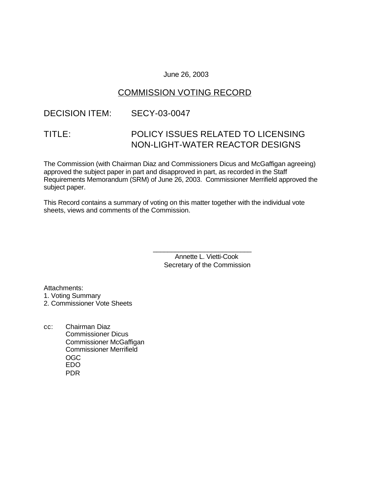### June 26, 2003

# COMMISSION VOTING RECORD

### DECISION ITEM: SECY-03-0047

# TITLE: POLICY ISSUES RELATED TO LICENSING NON-LIGHT-WATER REACTOR DESIGNS

The Commission (with Chairman Diaz and Commissioners Dicus and McGaffigan agreeing) approved the subject paper in part and disapproved in part, as recorded in the Staff Requirements Memorandum (SRM) of June 26, 2003. Commissioner Merrifield approved the subject paper.

This Record contains a summary of voting on this matter together with the individual vote sheets, views and comments of the Commission.

> Annette L. Vietti-Cook Secretary of the Commission

\_\_\_\_\_\_\_\_\_\_\_\_\_\_\_\_\_\_\_\_\_\_\_\_\_\_\_

Attachments:

1. Voting Summary

2. Commissioner Vote Sheets

cc: Chairman Diaz Commissioner Dicus Commissioner McGaffigan Commissioner Merrifield OGC EDO PDR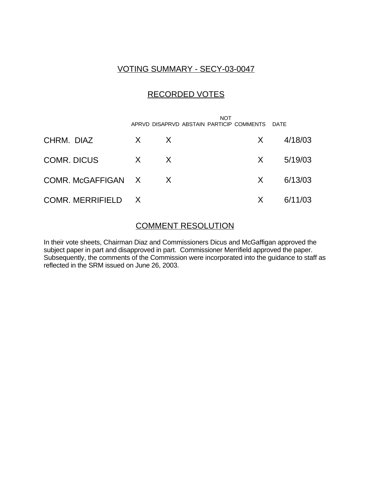### VOTING SUMMARY - SECY-03-0047

# RECORDED VOTES

 NOT APRVD DISAPRVD ABSTAIN PARTICIP COMMENTS DATE CHRM. DIAZ X X X 4/18/03 COMR. DICUS X X X 5/19/03 COMR. McGAFFIGAN X X X 6/13/03 COMR. MERRIFIELD X X 6/11/03

### COMMENT RESOLUTION

In their vote sheets, Chairman Diaz and Commissioners Dicus and McGaffigan approved the subject paper in part and disapproved in part. Commissioner Merrifield approved the paper. Subsequently, the comments of the Commission were incorporated into the guidance to staff as reflected in the SRM issued on June 26, 2003.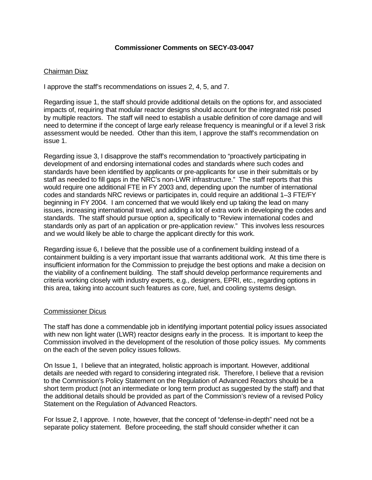#### **Commissioner Comments on SECY-03-0047**

### Chairman Diaz

I approve the staff's recommendations on issues 2, 4, 5, and 7.

Regarding issue 1, the staff should provide additional details on the options for, and associated impacts of, requiring that modular reactor designs should account for the integrated risk posed by multiple reactors. The staff will need to establish a usable definition of core damage and will need to determine if the concept of large early release frequency is meaningful or if a level 3 risk assessment would be needed. Other than this item, I approve the staff's recommendation on issue 1.

Regarding issue 3, I disapprove the staff's recommendation to "proactively participating in development of and endorsing international codes and standards where such codes and standards have been identified by applicants or pre-applicants for use in their submittals or by staff as needed to fill gaps in the NRC's non-LWR infrastructure." The staff reports that this would require one additional FTE in FY 2003 and, depending upon the number of international codes and standards NRC reviews or participates in, could require an additional 1–3 FTE/FY beginning in FY 2004. I am concerned that we would likely end up taking the lead on many issues, increasing international travel, and adding a lot of extra work in developing the codes and standards. The staff should pursue option a, specifically to "Review international codes and standards only as part of an application or pre-application review." This involves less resources and we would likely be able to charge the applicant directly for this work.

Regarding issue 6, I believe that the possible use of a confinement building instead of a containment building is a very important issue that warrants additional work. At this time there is insufficient information for the Commission to prejudge the best options and make a decision on the viability of a confinement building. The staff should develop performance requirements and criteria working closely with industry experts, e.g., designers, EPRI, etc., regarding options in this area, taking into account such features as core, fuel, and cooling systems design.

#### Commissioner Dicus

The staff has done a commendable job in identifying important potential policy issues associated with new non light water (LWR) reactor designs early in the process. It is important to keep the Commission involved in the development of the resolution of those policy issues. My comments on the each of the seven policy issues follows.

On Issue 1, I believe that an integrated, holistic approach is important. However, additional details are needed with regard to considering integrated risk. Therefore, I believe that a revision to the Commission's Policy Statement on the Regulation of Advanced Reactors should be a short term product (not an intermediate or long term product as suggested by the staff) and that the additional details should be provided as part of the Commission's review of a revised Policy Statement on the Regulation of Advanced Reactors.

For Issue 2, I approve. I note, however, that the concept of "defense-in-depth" need not be a separate policy statement. Before proceeding, the staff should consider whether it can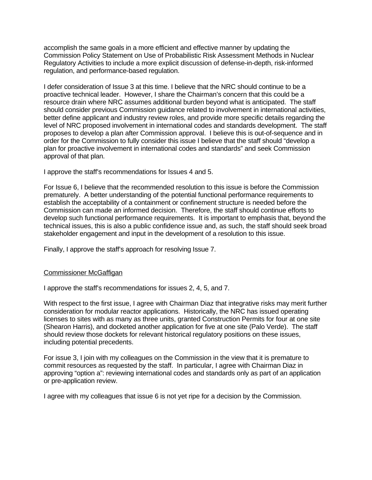accomplish the same goals in a more efficient and effective manner by updating the Commission Policy Statement on Use of Probabilistic Risk Assessment Methods in Nuclear Regulatory Activities to include a more explicit discussion of defense-in-depth, risk-informed regulation, and performance-based regulation.

I defer consideration of Issue 3 at this time. I believe that the NRC should continue to be a proactive technical leader. However, I share the Chairman's concern that this could be a resource drain where NRC assumes additional burden beyond what is anticipated. The staff should consider previous Commission guidance related to involvement in international activities, better define applicant and industry review roles, and provide more specific details regarding the level of NRC proposed involvement in international codes and standards development. The staff proposes to develop a plan after Commission approval. I believe this is out-of-sequence and in order for the Commission to fully consider this issue I believe that the staff should "develop a plan for proactive involvement in international codes and standards" and seek Commission approval of that plan.

I approve the staff's recommendations for Issues 4 and 5.

For Issue 6, I believe that the recommended resolution to this issue is before the Commission prematurely. A better understanding of the potential functional performance requirements to establish the acceptability of a containment or confinement structure is needed before the Commission can made an informed decision. Therefore, the staff should continue efforts to develop such functional performance requirements. It is important to emphasis that, beyond the technical issues, this is also a public confidence issue and, as such, the staff should seek broad stakeholder engagement and input in the development of a resolution to this issue.

Finally, I approve the staff's approach for resolving Issue 7.

### Commissioner McGaffigan

I approve the staff's recommendations for issues 2, 4, 5, and 7.

With respect to the first issue, I agree with Chairman Diaz that integrative risks may merit further consideration for modular reactor applications. Historically, the NRC has issued operating licenses to sites with as many as three units, granted Construction Permits for four at one site (Shearon Harris), and docketed another application for five at one site (Palo Verde). The staff should review those dockets for relevant historical regulatory positions on these issues, including potential precedents.

For issue 3, I join with my colleagues on the Commission in the view that it is premature to commit resources as requested by the staff. In particular, I agree with Chairman Diaz in approving "option a": reviewing international codes and standards only as part of an application or pre-application review.

I agree with my colleagues that issue 6 is not yet ripe for a decision by the Commission.